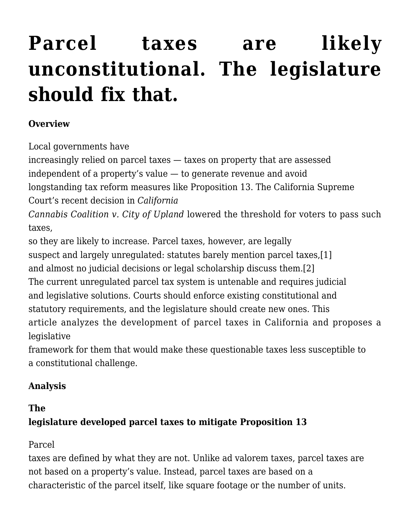# **[Parcel taxes are likely](http://scocablog.com/parcel-taxes-are-likely-unconstitutional-the-legislature-should-fix-that/) [unconstitutional. The legislature](http://scocablog.com/parcel-taxes-are-likely-unconstitutional-the-legislature-should-fix-that/) [should fix that.](http://scocablog.com/parcel-taxes-are-likely-unconstitutional-the-legislature-should-fix-that/)**

#### **Overview**

Local governments have

increasingly relied on parcel taxes — taxes on property that are assessed independent of a property's value — to generate revenue and avoid

longstanding tax reform measures like Proposition 13. The California Supreme Court's recent decision in *[California](https://scholar.google.com/scholar_case?case=13968085985644809550&q=California+Cannabis+Coalition+v.+City+of+Upland&hl=en&as_sdt=4,5)*

*[Cannabis Coalition v. City of Upland](https://scholar.google.com/scholar_case?case=13968085985644809550&q=California+Cannabis+Coalition+v.+City+of+Upland&hl=en&as_sdt=4,5)* lowered the threshold for voters to pass such taxes,

so they are likely to increase. Parcel taxes, however, are legally suspect and largely unregulated: statutes barely mention parcel taxes,[\[1\]](#page--1-0) and almost no judicial decisions or legal scholarship discuss them.[\[2\]](#page--1-0) The current unregulated parcel tax system is untenable and requires judicial and legislative solutions. Courts should enforce existing constitutional and statutory requirements, and the legislature should create new ones. This article analyzes the development of parcel taxes in California and proposes a legislative

framework for them that would make these questionable taxes less susceptible to a constitutional challenge.

# **Analysis**

## **The**

# **legislature developed parcel taxes to mitigate Proposition 13**

Parcel

taxes are defined by what they are not. Unlike ad valorem taxes, parcel taxes are not based on a property's value. Instead, parcel taxes are based on a characteristic of the parcel itself, like square footage or the number of units.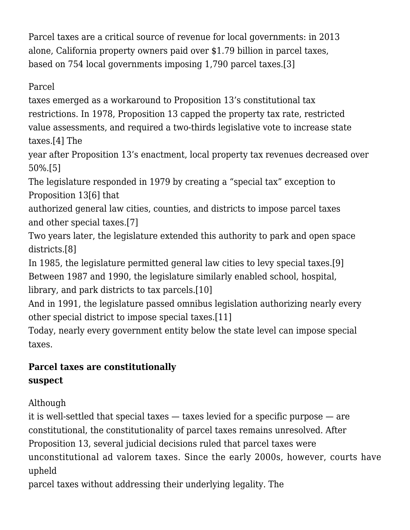Parcel taxes are a critical source of revenue for local governments: in 2013 alone, California property owners paid over \$1.79 billion in parcel taxes, based on 754 local governments imposing 1,790 parcel taxes[.\[3\]](#page--1-0)

Parcel

taxes emerged as a workaround to Proposition 13's constitutional tax restrictions. In 1978, Proposition 13 capped the property tax rate, restricted value assessments, and required a two-thirds legislative vote to increase state taxes.[\[4\]](#page--1-0) The

year after Proposition 13's enactment, local property tax revenues decreased over 50%[.\[5\]](#page--1-0)

The legislature responded in 1979 by creating a "special tax" exception to Proposition 1[3\[6\]](#page--1-0) that

authorized general law cities, counties, and districts to impose parcel taxes and other special taxes[.\[7\]](#page--1-0)

Two years later, the legislature extended this authority to park and open space districts.[\[8\]](#page--1-0)

In 1985, the legislature permitted general law cities to levy special taxes[.\[9\]](#page--1-0) Between 1987 and 1990, the legislature similarly enabled school, hospital, library, and park districts to tax parcels[.\[10\]](#page--1-0)

And in 1991, the legislature passed omnibus legislation authorizing nearly every other special district to impose special taxes[.\[11\]](#page--1-0)

Today, nearly every government entity below the state level can impose special taxes.

# **Parcel taxes are constitutionally suspect**

Although

it is well-settled that special taxes — taxes levied for a specific purpose — are constitutional, the constitutionality of parcel taxes remains unresolved. After Proposition 13, several judicial decisions ruled that parcel taxes were unconstitutional ad valorem taxes. Since the early 2000s, however, courts have upheld

parcel taxes without addressing their underlying legality. The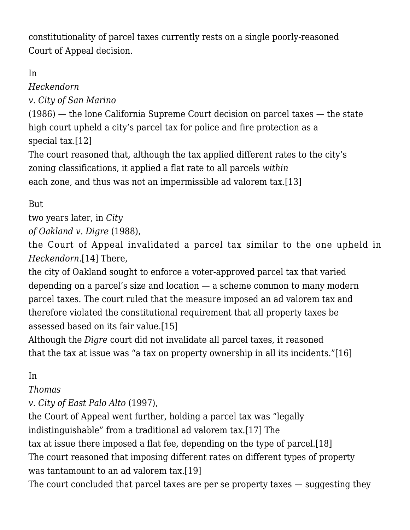constitutionality of parcel taxes currently rests on a single poorly-reasoned Court of Appeal decision.

## In

*[Heckendorn](https://scholar.google.com/scholar_case?case=4330181237104601729&q=42+Cal.3d.+481&hl=en&as_sdt=4,5)*

*[v. City of San Marino](https://scholar.google.com/scholar_case?case=4330181237104601729&q=42+Cal.3d.+481&hl=en&as_sdt=4,5)*

(1986) — the lone California Supreme Court decision on parcel taxes — the state high court upheld a city's parcel tax for police and fire protection as a special tax[.\[12\]](#page--1-0)

The court reasoned that, although the tax applied different rates to the city's zoning classifications, it applied a flat rate to all parcels *within* each zone, and thus was not an impermissible ad valorem tax.[\[13\]](#page--1-0)

But

two years later, in *[City](https://scholar.google.com/scholar_case?case=10380194567246708345&q=205+Cal.App.3d+99&hl=en&as_sdt=4,5)*

*[of Oakland v. Digre](https://scholar.google.com/scholar_case?case=10380194567246708345&q=205+Cal.App.3d+99&hl=en&as_sdt=4,5)* (1988),

the Court of Appeal invalidated a parcel tax similar to the one upheld in *Heckendorn*[.\[14\]](#page--1-0) There,

the city of Oakland sought to enforce a voter-approved parcel tax that varied depending on a parcel's size and location — a scheme common to many modern parcel taxes. The court ruled that the measure imposed an ad valorem tax and therefore violated the constitutional requirement that all property taxes be assessed based on its fair value.[\[15\]](#page--1-0)

Although the *Digre* court did not invalidate all parcel taxes, it reasoned that the tax at issue was "a tax on property ownership in all its incidents."[\[16\]](#page--1-0)

## In

#### *[Thomas](https://scholar.google.com/scholar_case?case=4205228190162621327&q=53+Cal.App.4th+1084&hl=en&as_sdt=4,5)*

*[v. City of East Palo Alto](https://scholar.google.com/scholar_case?case=4205228190162621327&q=53+Cal.App.4th+1084&hl=en&as_sdt=4,5)* [\(1997\)](https://scholar.google.com/scholar_case?case=4205228190162621327&q=53+Cal.App.4th+1084&hl=en&as_sdt=4,5),

the Court of Appeal went further, holding a parcel tax was "legally indistinguishable" from a traditional ad valorem tax[.\[17\]](#page--1-0) The tax at issue there imposed a flat fee, depending on the type of parcel[.\[18\]](#page--1-0) The court reasoned that imposing different rates on different types of property was tantamount to an ad valorem tax.[\[19\]](#page--1-0) The court concluded that parcel taxes are per se property taxes — suggesting they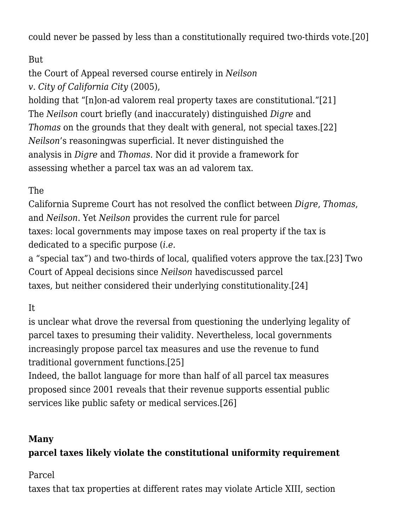could never be passed by less than a constitutionally required two-thirds vote.[\[20\]](#page--1-0)

## But

the Court of Appeal reversed course entirely in *[Neilson](https://scholar.google.com/scholar_case?case=16649381536362855823&q=133+Cal.App.4th+1296&hl=en&as_sdt=4,5)*

*[v. City of California City](https://scholar.google.com/scholar_case?case=16649381536362855823&q=133+Cal.App.4th+1296&hl=en&as_sdt=4,5)* [\(2005\)](https://scholar.google.com/scholar_case?case=16649381536362855823&q=133+Cal.App.4th+1296&hl=en&as_sdt=4,5),

holding that "[n]on-ad valorem real property taxes are constitutional."[\[21\]](#page--1-0) The *Neilson* court briefly (and inaccurately) distinguished *Digre* and *Thomas* on the grounds that they dealt with general, not special taxes[.\[22\]](#page--1-0) *Neilson*'s reasoningwas superficial. It never distinguished the analysis in *Digre* and *Thomas*. Nor did it provide a framework for assessing whether a parcel tax was an ad valorem tax.

### The

California Supreme Court has not resolved the conflict between *Digre*, *Thomas*, and *Neilson*. Yet *Neilson* provides the current rule for parcel taxes: local governments may impose taxes on real property if the tax is dedicated to a specific purpose (*i.e.*

a "special tax") and two-thirds of local, qualified voters approve the tax.[\[23\]](#page--1-0) Two Court of Appeal decisions since *Neilson* havediscussed parcel taxes, but neither considered their underlying constitutionality[.\[24\]](#page--1-0)

It

is unclear what drove the reversal from questioning the underlying legality of parcel taxes to presuming their validity. Nevertheless, local governments increasingly propose parcel tax measures and use the revenue to fund traditional government functions.[\[25\]](#page--1-0)

Indeed, the ballot language for more than half of all parcel tax measures proposed since 2001 reveals that their revenue supports essential public services like public safety or medical services[.\[26\]](#page--1-0)

#### **Many**

#### **parcel taxes likely violate the constitutional uniformity requirement**

Parcel

taxes that tax properties at different rates may violate Article XIII, section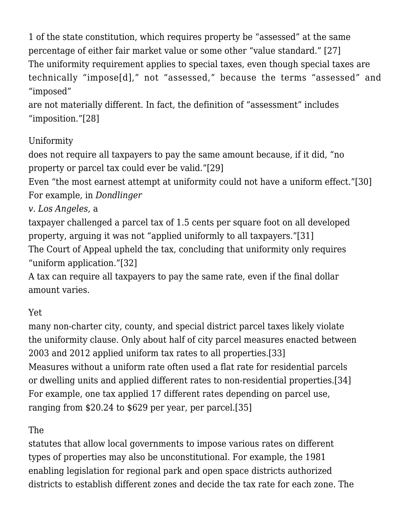1 of the state constitution, which requires property be "assessed" at the same percentage of either fair market value or some other "value standard." [\[27\]](#page--1-0) The uniformity requirement applies to special taxes, even though special taxes are technically "impose[d]," not "assessed," because the terms "assessed" and "imposed"

are not materially different. In fact, the definition of "assessment" includes "imposition.["\[28\]](#page--1-0)

## Uniformity

does not require all taxpayers to pay the same amount because, if it did, "no property or parcel tax could ever be valid.["\[29\]](#page--1-0)

Even "the most earnest attempt at uniformity could not have a uniform effect.["\[30\]](#page--1-0) For example, in *[Dondlinger](https://scholar.google.com/scholar_case?case=17779143946094150472&q=31+Cal.App.5th+994&hl=en&as_sdt=2006)*

*[v. Los Angeles](https://scholar.google.com/scholar_case?case=17779143946094150472&q=31+Cal.App.5th+994&hl=en&as_sdt=2006)*, a

taxpayer challenged a parcel tax of 1.5 cents per square foot on all developed property, arguing it was not "applied uniformly to all taxpayers."[\[31\]](#page--1-0) The Court of Appeal upheld the tax, concluding that uniformity only requires "uniform application."[\[32\]](#page--1-0)

A tax can require all taxpayers to pay the same rate, even if the final dollar amount varies.

## Yet

many non-charter city, county, and special district parcel taxes likely violate the uniformity clause. Only about half of city parcel measures enacted between 2003 and 2012 applied uniform tax rates to all properties[.\[33\]](#page--1-0) Measures without a uniform rate often used a flat rate for residential parcels or dwelling units and applied different rates to non-residential properties.[\[34\]](#page--1-0) For example, one tax applied 17 different rates depending on parcel use, ranging from \$20.24 to \$629 per year, per parcel[.\[35\]](#page--1-0)

## The

statutes that allow local governments to impose various rates on different types of properties may also be unconstitutional. For example, the 1981 enabling legislation for regional park and open space districts authorized districts to establish different zones and decide the tax rate for each zone. The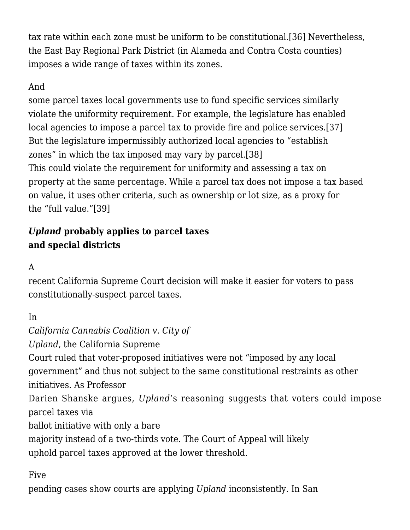tax rate within each zone must be uniform to be constitutional[.\[36\]](#page--1-0) Nevertheless, the East Bay Regional Park District (in Alameda and Contra Costa counties) imposes a wide range of taxes within its zones.

#### And

some parcel taxes local governments use to fund specific services similarly violate the uniformity requirement. For example, the legislature has enabled local agencies to impose a parcel tax to provide fire and police services.[\[37\]](#page--1-0) But the legislature impermissibly authorized local agencies to "establish zones" in which the tax imposed may vary by parcel.[\[38\]](#page--1-0) This could violate the requirement for uniformity and assessing a tax on property at the same percentage. While a parcel tax does not impose a tax based on value, it uses other criteria, such as ownership or lot size, as a proxy for the "full value."[\[39\]](#page--1-0)

## *Upland* **probably applies to parcel taxes and special districts**

A

recent California Supreme Court decision will make it easier for voters to pass constitutionally-suspect parcel taxes.

In

*California Cannabis Coalition v. City of Upland*, the California Supreme Court ruled that voter-proposed initiatives were not "imposed by any local government" and thus not subject to the same constitutional restraints as other initiatives. As [Professor](http://scocablog.com/opinion-analysis-s234148-california-cannabis-coalition-v-city-of-upland/) [Darien Shanske argues](http://scocablog.com/opinion-analysis-s234148-california-cannabis-coalition-v-city-of-upland/), *Upland*'s reasoning suggests that voters could impose parcel taxes via ballot initiative with only a bare majority instead of a two-thirds vote. The Court of Appeal will likely uphold parcel taxes approved at the lower threshold.

Five

pending cases show courts are applying *Upland* inconsistently. In San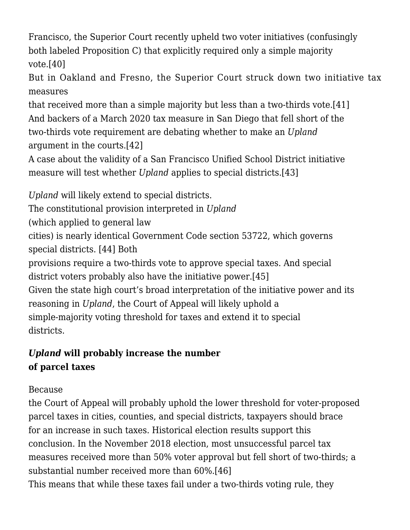Francisco, the Superior Court recently upheld two voter initiatives (confusingly both labeled Proposition C) that explicitly required only a simple majority vote.[\[40\]](#page--1-0)

But in Oakland and Fresno, the Superior Court struck down two initiative tax measures

that received more than a simple majority but less than a two-thirds vote[.\[41\]](#page--1-0) And backers of a March 2020 tax measure in San Diego that fell short of the two-thirds vote requirement are debating whether to make an *Upland* argument in the courts[.\[42\]](#page--1-0)

A case about the validity of a San Francisco Unified School District initiative measure will test whether *Upland* applies to special districts.[\[43\]](#page--1-0)

*Upland* will likely extend to special districts.

The constitutional provision interpreted in *Upland*

(which applied to general law

cities) is nearly identical Government Code section 53722, which governs special districts. [\[44\]](#page--1-0) Both

provisions require a two-thirds vote to approve special taxes. And special district voters probably also have the initiative power.[\[45\]](#page--1-0)

Given the state high court's broad interpretation of the initiative power and its reasoning in *Upland*, the Court of Appeal will likely uphold a simple-majority voting threshold for taxes and extend it to special districts.

# *Upland* **will probably increase the number of parcel taxes**

#### Because

the Court of Appeal will probably uphold the lower threshold for voter-proposed parcel taxes in cities, counties, and special districts, taxpayers should brace for an increase in such taxes. Historical election results support this conclusion. In the November 2018 election, most unsuccessful parcel tax measures received more than 50% voter approval but fell short of two-thirds; a substantial number received more than 60%.[\[46\]](#page--1-0)

This means that while these taxes fail under a two-thirds voting rule, they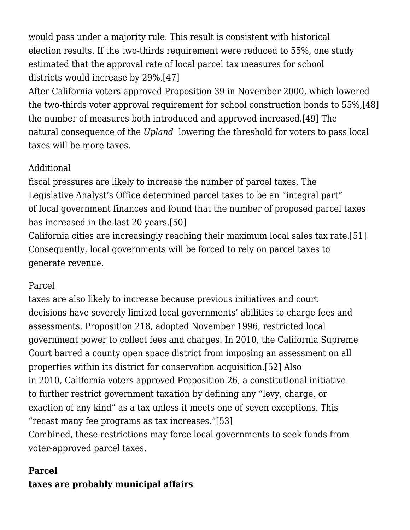would pass under a majority rule. This result is consistent with historical election results. If the two-thirds requirement were reduced to 55%, one study estimated that the approval rate of local parcel tax measures for school districts would increase by 29%[.\[47\]](#page--1-0)

After California voters approved Proposition 39 in November 2000, which lowered the two-thirds voter approval requirement for school construction bonds to 55%[,\[48\]](#page--1-0) the number of measures both introduced and approved increased[.\[49\]](#page--1-0) The natural consequence of the *Upland* lowering the threshold for voters to pass local taxes will be more taxes.

#### Additional

fiscal pressures are likely to increase the number of parcel taxes. The Legislative Analyst's Office determined parcel taxes to be an "integral part" of local government finances and found that the number of proposed parcel taxes has increased in the last 20 years[.\[50\]](#page--1-0)

California cities are increasingly reaching their maximum local sales tax rate[.\[51\]](#page--1-0) Consequently, local governments will be forced to rely on parcel taxes to generate revenue.

#### Parcel

taxes are also likely to increase because previous initiatives and court decisions have severely limited local governments' abilities to charge fees and assessments. Proposition 218, adopted November 1996, restricted local government power to collect fees and charges. In 2010, the California Supreme Court barred a county open space district from imposing an assessment on all properties within its district for conservation acquisition.[\[52\]](#page--1-0) Also in 2010, California voters approved Proposition 26, a constitutional initiative to further restrict government taxation by defining any "levy, charge, or exaction of any kind" as a tax unless it meets one of seven exceptions. This "recast many fee programs as tax increases."[\[53\]](#page--1-0) Combined, these restrictions may force local governments to seek funds from

voter-approved parcel taxes.

#### **Parcel**

# **taxes are probably municipal affairs**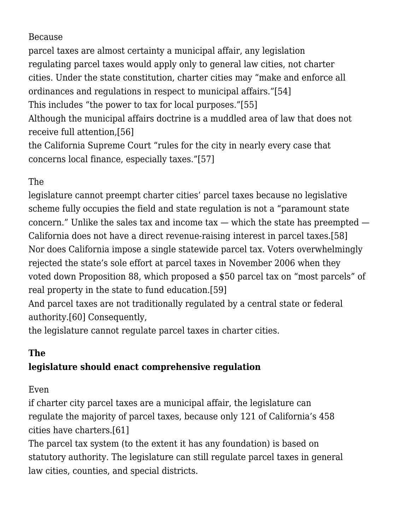#### Because

parcel taxes are almost certainty a municipal affair, any legislation regulating parcel taxes would apply only to general law cities, not charter cities. Under the state constitution, charter cities may "make and enforce all ordinances and regulations in respect to municipal affairs."[\[54\]](#page--1-0) This includes "the power to tax for local purposes."[\[55\]](#page--1-0) Although the municipal affairs doctrine is a muddled area of law that does not receive full attention[,\[56\]](#page--1-0) the California Supreme Court "rules for the city in nearly every case that concerns local finance, especially taxes.["\[57\]](#page--1-0)

#### The

legislature cannot preempt charter cities' parcel taxes because no legislative scheme fully occupies the field and state regulation is not a "paramount state concern." Unlike the sales tax and income  $\text{tax}$  — which the state has preempted — California does not have a direct revenue-raising interest in parcel taxes[.\[58\]](#page--1-0) Nor does California impose a single statewide parcel tax. Voters overwhelmingly rejected the state's sole effort at parcel taxes in November 2006 when they voted down Proposition 88, which proposed a \$50 parcel tax on "most parcels" of real property in the state to fund education.[\[59\]](#page--1-0)

And parcel taxes are not traditionally regulated by a central state or federal authority.[\[60\]](#page--1-0) Consequently,

the legislature cannot regulate parcel taxes in charter cities.

#### **The**

#### **legislature should enact comprehensive regulation**

#### Even

if charter city parcel taxes are a municipal affair, the legislature can regulate the majority of parcel taxes, because only 121 of California's 458 cities have charters.[\[61\]](#page--1-0)

The parcel tax system (to the extent it has any foundation) is based on statutory authority. The legislature can still regulate parcel taxes in general law cities, counties, and special districts.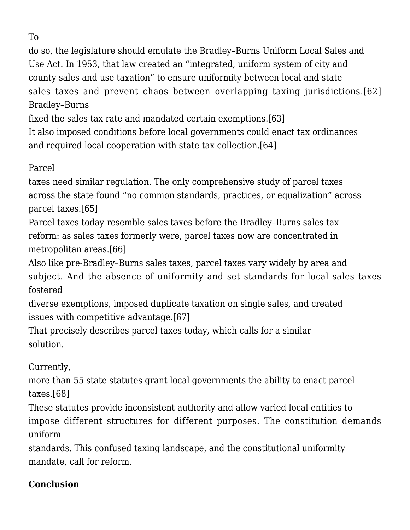To

do so, the legislature should emulate the Bradley–Burns Uniform Local Sales and Use Act. In 1953, that law created an "integrated, uniform system of city and county sales and use taxation" to ensure uniformity between local and state sales taxes and prevent chaos between overlapping taxing jurisdictions.[\[62\]](#page--1-0) Bradley–Burns

fixed the sales tax rate and mandated certain exemptions.[\[63\]](#page--1-0)

It also imposed conditions before local governments could enact tax ordinances and required local cooperation with state tax collection[.\[64\]](#page--1-0)

#### Parcel

taxes need similar regulation. The only comprehensive study of parcel taxes across the state found "no common standards, practices, or equalization" across parcel taxes[.\[65\]](#page--1-0)

Parcel taxes today resemble sales taxes before the Bradley–Burns sales tax reform: as sales taxes formerly were, parcel taxes now are concentrated in metropolitan areas[.\[66\]](#page--1-0)

Also like pre-Bradley–Burns sales taxes, parcel taxes vary widely by area and subject. And the absence of uniformity and set standards for local sales taxes fostered

diverse exemptions, imposed duplicate taxation on single sales, and created issues with competitive advantage.[\[67\]](#page--1-0)

That precisely describes parcel taxes today, which calls for a similar solution.

Currently,

more than 55 state statutes grant local governments the ability to enact parcel taxes.[\[68\]](#page--1-0)

These statutes provide inconsistent authority and allow varied local entities to impose different structures for different purposes. The constitution demands uniform

standards. This confused taxing landscape, and the constitutional uniformity mandate, call for reform.

## **Conclusion**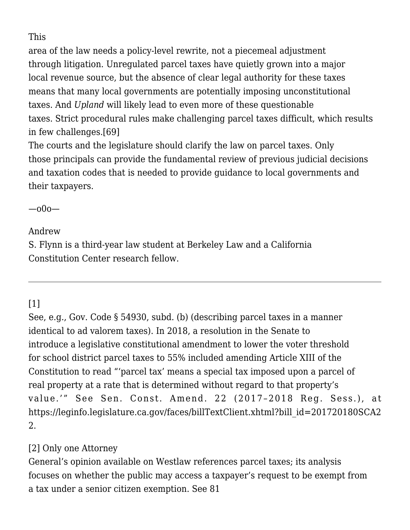This

area of the law needs a policy-level rewrite, not a piecemeal adjustment through litigation. Unregulated parcel taxes have quietly grown into a major local revenue source, but the absence of clear legal authority for these taxes means that many local governments are potentially imposing unconstitutional taxes. And *Upland* will likely lead to even more of these questionable taxes. Strict procedural rules make challenging parcel taxes difficult, which results in few challenges.[\[69\]](#page--1-0)

The courts and the legislature should clarify the law on parcel taxes. Only those principals can provide the fundamental review of previous judicial decisions and taxation codes that is needed to provide guidance to local governments and their taxpayers.

—o0o—

Andrew

S. Flynn is a third-year law student at Berkeley Law and a California Constitution Center research fellow.

# [\[1\]](#page--1-0)

See, e.g., Gov. Code § 54930, subd. (b) (describing parcel taxes in a manner identical to ad valorem taxes). In 2018, a resolution in the Senate to introduce a legislative constitutional amendment to lower the voter threshold for school district parcel taxes to 55% included amending Article XIII of the Constitution to read "'parcel tax' means a special tax imposed upon a parcel of real property at a rate that is determined without regard to that property's value.'" See Sen. Const. Amend. 22 (2017–2018 Reg. Sess.), at [https://leginfo.legislature.ca.gov/faces/billTextClient.xhtml?bill\\_id=201720180SCA2](https://leginfo.legislature.ca.gov/faces/billTextClient.xhtml?bill_id=201720180SCA22) [2](https://leginfo.legislature.ca.gov/faces/billTextClient.xhtml?bill_id=201720180SCA22).

## [\[2\]](#page--1-0) Only one Attorney

General's opinion available on Westlaw references parcel taxes; its analysis focuses on whether the public may access a taxpayer's request to be exempt from a tax under a senior citizen exemption. See [81](https://oag.ca.gov/system/files/opinions/pdfs/98-901.pdf)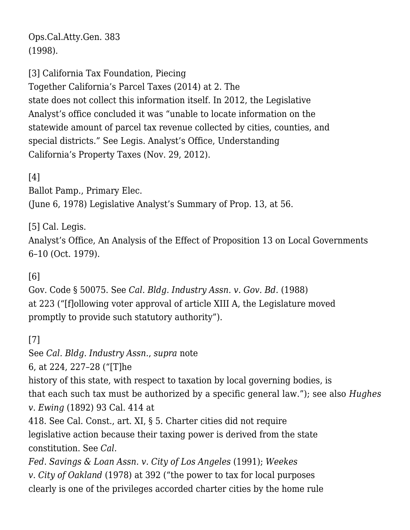[Ops.Cal.Atty.Gen. 383](https://oag.ca.gov/system/files/opinions/pdfs/98-901.pdf) (1998).

[\[3\]](#page--1-0) California Tax Foundation, [Piecing](https://www.caltaxfoundation.org/center-for-special-taxes)

[Together California's Parcel Taxes](https://www.caltaxfoundation.org/center-for-special-taxes) (2014) at 2. The state does not collect this information itself. In 2012, the Legislative Analyst's office concluded it was "unable to locate information on the statewide amount of parcel tax revenue collected by cities, counties, and special districts." See Legis. Analyst's Office, [Understanding](https://lao.ca.gov/reports/2012/tax/property-tax-primer-112912.aspx) [California's Property Taxes](https://lao.ca.gov/reports/2012/tax/property-tax-primer-112912.aspx) (Nov. 29, 2012).

[\[4\]](#page--1-0)

Ballot Pamp., Primary Elec. (June 6, 1978) Legislative Analyst's Summary of Prop. 13, at 56.

[\[5\]](#page--1-0) Cal. Legis.

Analyst's Office, An Analysis of the Effect of Proposition 13 on Local Governments 6–10 (Oct. 1979).

[\[6\]](#page--1-0)

Gov. Code § 50075. See *[Cal. Bldg. Industry Assn. v. Gov. Bd.](https://scholar.google.com/scholar_case?case=7483445641409359731&q=206+Cal.App.3d+212&hl=en&as_sdt=4,5)* [\(1988\)](https://scholar.google.com/scholar_case?case=7483445641409359731&q=206+Cal.App.3d+212&hl=en&as_sdt=4,5) at 223 ("[f]ollowing voter approval of article XIII A, the Legislature moved promptly to provide such statutory authority").

[\[7\]](#page--1-0)

See *[Cal. Bldg. Industry Assn.](https://scholar.google.com/scholar_case?case=7483445641409359731&q=206+Cal.App.3d+212&hl=en&as_sdt=4,5)*, *supra* note

6, at 224, 227–28 ("[T]he

history of this state, with respect to taxation by local governing bodies, is that each such tax must be authorized by a specific general law."); see also *Hughes v. Ewing* (1892) 93 Cal. 414 at

418. See Cal. Const., art. XI, § 5. Charter cities did not require legislative action because their taxing power is derived from the state constitution. See *[Cal.](https://scholar.google.com/scholar_case?case=13398148860947069229&q=54+Cal.3d+1&hl=en&as_sdt=2006)*

*[Fed. Savings & Loan Assn. v. City of Los Angeles](https://scholar.google.com/scholar_case?case=13398148860947069229&q=54+Cal.3d+1&hl=en&as_sdt=2006)* [\(1991\);](https://scholar.google.com/scholar_case?case=13398148860947069229&q=54+Cal.3d+1&hl=en&as_sdt=2006) *[Weekes](https://scholar.google.com/scholar_case?case=13545684125710998630&q=Weekes+v.+City+of+Oakland+&hl=en&as_sdt=2006) [v. City of Oakland](https://scholar.google.com/scholar_case?case=13545684125710998630&q=Weekes+v.+City+of+Oakland+&hl=en&as_sdt=2006)* [\(1978\)](https://scholar.google.com/scholar_case?case=13545684125710998630&q=Weekes+v.+City+of+Oakland+&hl=en&as_sdt=2006) at 392 ("the power to tax for local purposes clearly is one of the privileges accorded charter cities by the home rule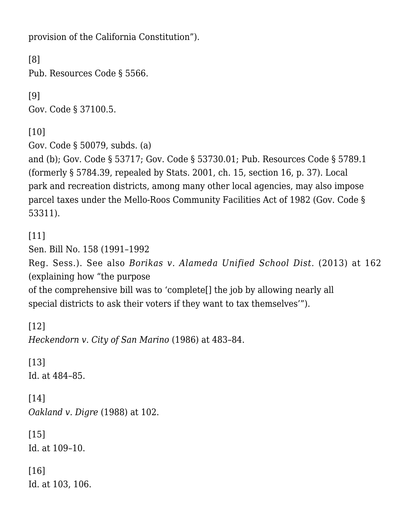provision of the California Constitution").

[\[8\]](#page--1-0) Pub. Resources Code § 5566.

[\[9\]](#page--1-0) Gov. Code § 37100.5.

[\[10\]](#page--1-0)

Gov. Code § 50079, subds. (a)

and (b); Gov. Code § 53717; Gov. Code § 53730.01; Pub. Resources Code § 5789.1 (formerly § 5784.39, repealed by Stats. 2001, ch. 15, section 16, p. 37). Local park and recreation districts, among many other local agencies, may also impose parcel taxes under the Mello-Roos Community Facilities Act of 1982 (Gov. Code § 53311).

[\[11\]](#page--1-0)

Sen. Bill No. 158 (1991–1992 Reg. Sess.). See also *[Borikas v. Alameda Unified School Dist.](https://scholar.google.com/scholar_case?case=6358061912628902971&q=214+cal.app.4th+135&hl=en&as_sdt=4,5)* [\(2013\)](https://scholar.google.com/scholar_case?case=6358061912628902971&q=214+cal.app.4th+135&hl=en&as_sdt=4,5) at 162 (explaining how "the purpose

of the comprehensive bill was to 'complete[] the job by allowing nearly all special districts to ask their voters if they want to tax themselves'").

[\[12\]](#page--1-0) *[Heckendorn v. City of San Marino](https://scholar.google.com/scholar_case?case=4330181237104601729&q=42+Cal.3d.+481&hl=en&as_sdt=4,5)* [\(1986\)](https://scholar.google.com/scholar_case?case=4330181237104601729&q=42+Cal.3d.+481&hl=en&as_sdt=4,5) at 483–84.

[\[13\]](#page--1-0) Id. at 484–85.

[\[14\]](#page--1-0) *[Oakland v. Digre](https://scholar.google.com/scholar_case?case=10380194567246708345&q=205+Cal.App.3d+99&hl=en&as_sdt=4,5)* [\(1988\)](https://scholar.google.com/scholar_case?case=10380194567246708345&q=205+Cal.App.3d+99&hl=en&as_sdt=4,5) at 102.

[\[15\]](#page--1-0) Id. at 109–10.

[\[16\]](#page--1-0) Id. at 103, 106.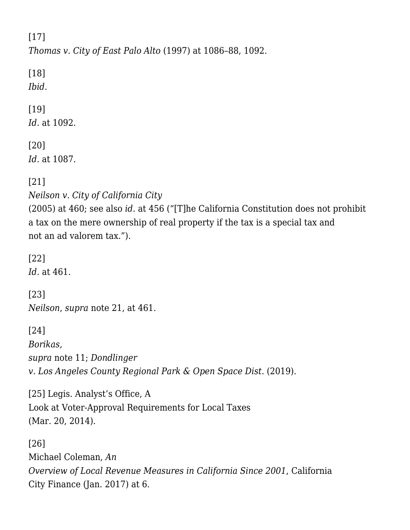[\[17\]](#page--1-0)

*[Thomas v. City of East Palo Alto](https://scholar.google.com/scholar_case?case=4205228190162621327&q=53+Cal.App.4th+1084&hl=en&as_sdt=4,5)* [\(1997](https://scholar.google.com/scholar_case?case=4205228190162621327&q=53+Cal.App.4th+1084&hl=en&as_sdt=4,5)) at 1086–88, 1092.

[\[18\]](#page--1-0) *Ibid*.

# [\[19\]](#page--1-0)

*Id.* at 1092.

## [\[20\]](#page--1-0)

*[Id.](https://scholar.google.com/scholar_case?case=4205228190162621327&q=53+Cal.App.4th+1084&hl=en&as_sdt=4,5)* at 1087.

[\[21\]](#page--1-0)

*[Neilson v. City of California City](https://scholar.google.com/scholar_case?case=16649381536362855823&q=133+Cal.App.4th+1296&hl=en&as_sdt=4,5)*

[\(2005\)](https://scholar.google.com/scholar_case?case=16649381536362855823&q=133+Cal.App.4th+1296&hl=en&as_sdt=4,5) at 460; see also *[id.](https://scholar.google.com/scholar_case?case=16649381536362855823&q=133+Cal.App.4th+1296&hl=en&as_sdt=4,5)* at 456 ("[T]he California Constitution does not prohibit a tax on the mere ownership of real property if the tax is a special tax and not an ad valorem tax.").

[\[22\]](#page--1-0) *Id.* at 461.

[\[23\]](#page--1-0) *[Neilson](https://scholar.google.com/scholar_case?case=16649381536362855823&q=133+Cal.App.4th+1296&hl=en&as_sdt=4,5)*, *supra* note 21, at 461.

[\[24\]](#page--1-0) *[Borikas](https://scholar.google.com/scholar_case?case=6358061912628902971&q=214+cal.app.4th+135&hl=en&as_sdt=4,5)*, *supra* note 11; *[Dondlinger](https://scholar.google.com/scholar_case?case=17779143946094150472&q=Dondlinger+v.+Los+Angeles+County+Regional+Park+%26+Open+Space+Dist.+(2019).&hl=en&as_sdt=4,5) [v. Los Angeles County Regional Park & Open Space Dist.](https://scholar.google.com/scholar_case?case=17779143946094150472&q=Dondlinger+v.+Los+Angeles+County+Regional+Park+%26+Open+Space+Dist.+(2019).&hl=en&as_sdt=4,5)* [\(2019\).](https://scholar.google.com/scholar_case?case=17779143946094150472&q=Dondlinger+v.+Los+Angeles+County+Regional+Park+%26+Open+Space+Dist.+(2019).&hl=en&as_sdt=4,5)

[\[25\]](#page--1-0) Legis. Analyst's Office, [A](https://lao.ca.gov/reports/2014/finance/local-taxes/voter-approval-032014.pdf) [Look at Voter-Approval Requirements for Local Taxes](https://lao.ca.gov/reports/2014/finance/local-taxes/voter-approval-032014.pdf) (Mar. 20, 2014).

[\[26\]](#page--1-0) Michael Coleman, *[An](http://www.californiacityfinance.com/LocalMeasuresSince01.pdf) [Overview of Local Revenue Measures in California Since 2001](http://www.californiacityfinance.com/LocalMeasuresSince01.pdf)*, California City Finance (Jan. 2017) at 6.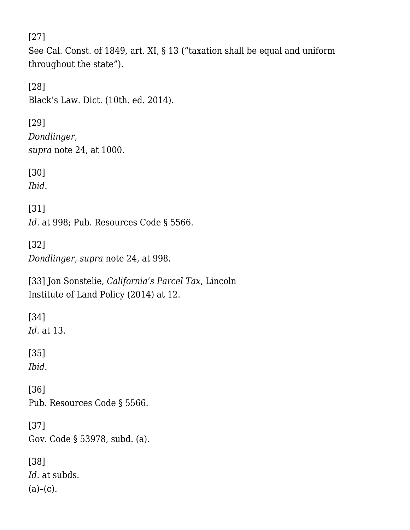[\[27\]](#page--1-0)

See Cal. Const. of 1849, art. XI, § 13 ("taxation shall be equal and uniform throughout the state").

[\[28\]](#page--1-0) Black's Law. Dict. (10th. ed. 2014).

[\[29\]](#page--1-0) *[Dondlinger](https://scholar.google.com/scholar_case?case=17779143946094150472&q=31+Cal.App.5th+994&hl=en&as_sdt=2006)*[,](https://scholar.google.com/scholar_case?case=17779143946094150472&q=31+Cal.App.5th+994&hl=en&as_sdt=2006) *supra* note 24, at 1000.

[\[30\]](#page--1-0)

*Ibid*.

[\[31\]](#page--1-0) *Id.* at 998; Pub. Resources Code § 5566.

[\[32\]](#page--1-0) *[Dondlinger](https://scholar.google.com/scholar_case?case=17779143946094150472&q=31+Cal.App.5th+994&hl=en&as_sdt=2006)*, *supra* note 24, at 998.

[\[33\]](#page--1-0) Jon Sonstelie, *[California's Parcel Tax](https://www.lincolninst.edu/sites/default/files/pubfiles/sonstelie-wp14js1.pdf)*, Lincoln Institute of Land Policy (2014) at 12.

[\[34\]](#page--1-0) *Id.* at 13. [\[35\]](#page--1-0) *Ibid.* [\[36\]](#page--1-0) Pub. Resources Code § 5566. [\[37\]](#page--1-0) Gov. Code § 53978, subd. (a). [\[38\]](#page--1-0) *Id.* at subds.

 $(a)-(c)$ .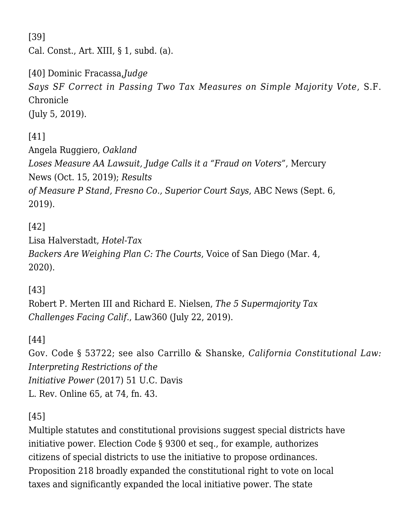[\[39\]](#page--1-0) Cal. Const., Art. XIII, § 1, subd. (a).

[\[40\]](#page--1-0) Dominic Fracassa,*[Judge](https://www.sfchronicle.com/bayarea/article/Judge-says-SF-correct-in-passing-two-tax-measures-14074436.php) [Says SF Correct in Passing Two Tax Measures on Simple Majority Vote](https://www.sfchronicle.com/bayarea/article/Judge-says-SF-correct-in-passing-two-tax-measures-14074436.php)*, S.F. Chronicle (July 5, 2019).

## [\[41\]](#page--1-0)

Angela Ruggiero, *[Oakland](https://www.mercurynews.com/2019/10/15/oakland-loses-measure-aa-lawsuit-judge-calls-it-a-fraud-on-voters/) [Loses Measure AA Lawsuit, Judge Calls it a "Fraud on Voters"](https://www.mercurynews.com/2019/10/15/oakland-loses-measure-aa-lawsuit-judge-calls-it-a-fraud-on-voters/)*, Mercury News (Oct. 15, 2019); *[Results](https://abc30.com/politics/results-of-measure-p-stand-fresno-co-superior-court-judge-says/5521387/) [of Measure P Stand, Fresno Co., Superior Court Says](https://abc30.com/politics/results-of-measure-p-stand-fresno-co-superior-court-judge-says/5521387/)*, ABC News (Sept. 6, 2019).

# [\[42\]](#page--1-0)

Lisa Halverstadt, *[Hotel-Tax](https://www.voiceofsandiego.org/topics/politics/hotel-tax-backers-are-weighing-plan-c-the-courts/) [Backers Are Weighing Plan C: The Courts](https://www.voiceofsandiego.org/topics/politics/hotel-tax-backers-are-weighing-plan-c-the-courts/)*, Voice of San Diego (Mar. 4, 2020).

## [\[43\]](#page--1-0)

Robert P. Merten III and Richard E. Nielsen, *The 5 Supermajority Tax Challenges Facing Calif.*, Law360 (July 22, 2019).

## [\[44\]](#page--1-0)

Gov. Code § 53722; see also Carrillo & Shanske, *California Constitutional Law: Interpreting Restrictions of the Initiative Power* (2017) 51 U.C. Davis L. Rev. Online 65, at 74, fn. 43.

## [\[45\]](#page--1-0)

Multiple statutes and constitutional provisions suggest special districts have initiative power. Election Code § 9300 et seq., for example, authorizes citizens of special districts to use the initiative to propose ordinances. Proposition 218 broadly expanded the constitutional right to vote on local taxes and significantly expanded the local initiative power. The state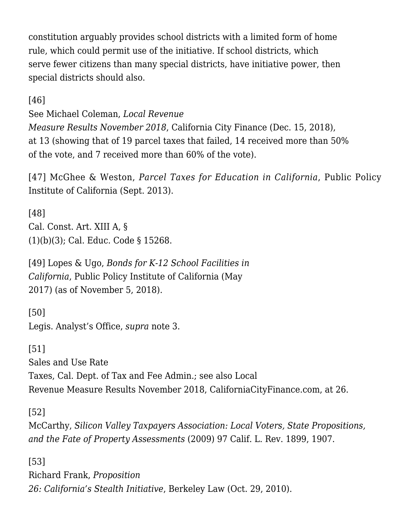constitution arguably provides school districts with a limited form of home rule, which could permit use of the initiative. If school districts, which serve fewer citizens than many special districts, have initiative power, then special districts should also.

[\[46\]](#page--1-0)

See Michael Coleman, *[Local Revenue](http://www.californiacityfinance.com/Votes1811final.pdf)*

*[Measure Results November 2018](http://www.californiacityfinance.com/Votes1811final.pdf)*, California City Finance (Dec. 15, 2018), at 13 (showing that of 19 parcel taxes that failed, 14 received more than 50% of the vote, and 7 received more than 60% of the vote).

[\[47\]](#page--1-0) McGhee & Weston, *[Parcel Taxes for Education in California](https://www.ppic.org/content/pubs/atissue/AI_913EMAI.pdf)*, Public Policy Institute of California (Sept. 2013).

[\[48\]](#page--1-0) Cal. Const. Art. XIII A, § (1)(b)(3); Cal. Educ. Code § 15268.

[\[49\]](#page--1-0) Lopes & Ugo, *[Bonds for K-12 School Facilities in](https://www.ppic.org/publication/bonds-for-k-12-school-facilities-in-california/) [California](https://www.ppic.org/publication/bonds-for-k-12-school-facilities-in-california/)*, Public Policy Institute of California (May 2017) (as of November 5, 2018).

[\[50\]](#page--1-0) Legis. Analyst's Office, *supra* note 3.

[\[51\]](#page--1-0) [Sales and Use Rate](https://www.cdtfa.ca.gov/formspubs/cdtfa95.pdf) [Taxes](https://www.cdtfa.ca.gov/formspubs/cdtfa95.pdf), Cal. Dept. of Tax and Fee Admin.; see also [Local](file://argyll.law.berkeley.edu/users/carrillo/SCOCAblog/contributor%20blog%20articles/Flynn/at%20http:/www.californiacityfinance.com/Votes1811final.pdf) [Revenue Measure Results November 2018,](file://argyll.law.berkeley.edu/users/carrillo/SCOCAblog/contributor%20blog%20articles/Flynn/at%20http:/www.californiacityfinance.com/Votes1811final.pdf) CaliforniaCityFinance.com, at 26.

[\[52\]](#page--1-0)

McCarthy, *Silicon Valley Taxpayers Association: Local Voters, State Propositions, and the Fate of Property Assessments* (2009) 97 Calif. L. Rev. 1899, 1907.

[\[53\]](#page--1-0) Richard Frank, *[Proposition](https://www.law.berkeley.edu/article/proposition-26-californias-stealth-initiative/) [26: California's Stealth Initiative](https://www.law.berkeley.edu/article/proposition-26-californias-stealth-initiative/)*, Berkeley Law (Oct. 29, 2010).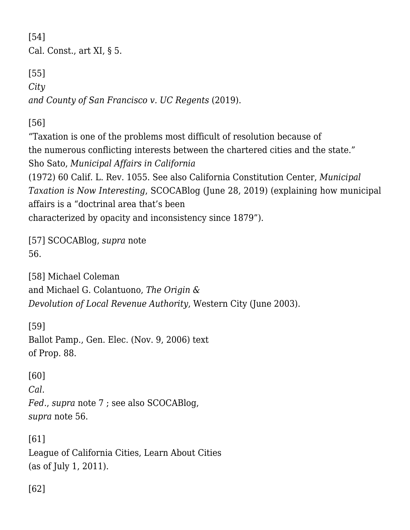[\[54\]](#page--1-0) Cal. Const., art XI, § 5.

[\[55\]](#page--1-0) *[City](https://scholar.google.com/scholar_case?case=8820183332973818755&q=7+Cal.5th+536&hl=en&as_sdt=2006) [and County of San Francisco v. UC Regents](https://scholar.google.com/scholar_case?case=8820183332973818755&q=7+Cal.5th+536&hl=en&as_sdt=2006)* [\(2019\).](https://scholar.google.com/scholar_case?case=8820183332973818755&q=7+Cal.5th+536&hl=en&as_sdt=2006)

[\[56\]](#page--1-0)

"Taxation is one of the problems most difficult of resolution because of the numerous conflicting interests between the chartered cities and the state." Sho Sato, *Municipal Affairs in California* (1972) 60 Calif. L. Rev. 1055. See also California Constitution Center, *[Municipal](http://scocablog.com/%ef%bb%bfmunicipal-taxation-is-now-interesting/) [Taxation is Now Interesting](http://scocablog.com/%ef%bb%bfmunicipal-taxation-is-now-interesting/)*, SCOCABlog (June 28, 2019) (explaining how municipal affairs is a "doctrinal area that's been characterized by opacity and inconsistency since 1879").

[\[57\]](#page--1-0) [SCOCABlog,](http://scocablog.com/%ef%bb%bfmunicipal-taxation-is-now-interesting/) *supra* note 56.

[\[58\]](#page--1-0) Michael Coleman and Michael G. Colantuono, *[The Origin &](https://chwlaw.us/papers/OriginDevolution.pdf) [Devolution of Local Revenue Authority](https://chwlaw.us/papers/OriginDevolution.pdf)*, Western City (June 2003).

[\[59\]](#page--1-0) Ballot Pamp., Gen. Elec. (Nov. 9, 2006) [text](http://vigarchive.sos.ca.gov/2006/general/props/prop88/prop88.htm) [of Prop. 88](http://vigarchive.sos.ca.gov/2006/general/props/prop88/prop88.htm).

[\[60\]](#page--1-0) *[Cal.](https://scholar.google.com/scholar_case?case=13398148860947069229&q=54+Cal.3d+1&hl=en&as_sdt=2006) [Fed.](https://scholar.google.com/scholar_case?case=13398148860947069229&q=54+Cal.3d+1&hl=en&as_sdt=2006)*, *supra* note 7 ; see also [SCOCABlog](http://scocablog.com/municipal-taxes-are-almost-always-municipal-affairs/), *supra* note 56.

[\[61\]](#page--1-0) League of California Cities, [Learn About Cities](https://www.cacities.org/Resources/Learn-About-Cities) (as of July 1, 2011).

[\[62\]](#page--1-0)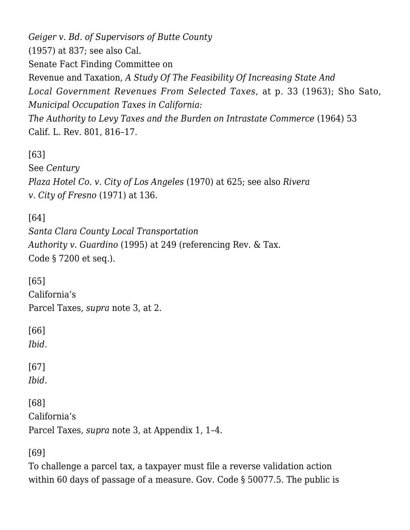*[Geiger v. Bd. of Supervisors of Butte County](https://scholar.google.com/scholar_case?case=10185935507448040011&q=48+Cal.2d+832&hl=en&as_sdt=4,5)* [\(1957\)](https://scholar.google.com/scholar_case?case=10185935507448040011&q=48+Cal.2d+832&hl=en&as_sdt=4,5) at 837; see also Cal. Senate Fact Finding Committee on Revenue and Taxation, *A Study Of The Feasibility Of Increasing State And Local Government Revenues From Selected Taxes*, at p. 33 (1963); Sho Sato, *Municipal Occupation Taxes in California: The Authority to Levy Taxes and the Burden on Intrastate Commerce* (1964) 53 Calif. L. Rev. 801, 816–17.

[\[63\]](#page--1-0)

See *[Century](https://scholar.google.com/scholar_case?case=3676062966423348481&q=century+plaza+,+7+Cal.App.3d+&hl=en&as_sdt=4,5)*

*[Plaza Hotel Co. v. City of Los Angeles](https://scholar.google.com/scholar_case?case=3676062966423348481&q=century+plaza+,+7+Cal.App.3d+&hl=en&as_sdt=4,5)* [\(1970\)](https://scholar.google.com/scholar_case?case=3676062966423348481&q=century+plaza+,+7+Cal.App.3d+&hl=en&as_sdt=4,5) [a](https://scholar.google.com/scholar_case?case=3676062966423348481&q=century+plaza+,+7+Cal.App.3d+&hl=en&as_sdt=4,5)t 625; see also *[Rivera](https://scholar.google.com/scholar_case?case=3696438483984682990&q=Rivera+v.+City+of+Fresno&hl=en&as_sdt=4,5) [v. City of Fresno](https://scholar.google.com/scholar_case?case=3696438483984682990&q=Rivera+v.+City+of+Fresno&hl=en&as_sdt=4,5)* [\(1971\)](https://scholar.google.com/scholar_case?case=3696438483984682990&q=Rivera+v.+City+of+Fresno&hl=en&as_sdt=4,5) at 136.

[\[64\]](#page--1-0)

*[Santa Clara County Local Transportation](https://scholar.google.com/scholar_case?case=9053704802274377661&q=11+Cal.4th+220&hl=en&as_sdt=4,5) [Authority v.](https://scholar.google.com/scholar_case?case=9053704802274377661&q=11+Cal.4th+220&hl=en&as_sdt=4,5) [Guardino](https://scholar.google.com/scholar_case?case=9053704802274377661&q=11+Cal.4th+220&hl=en&as_sdt=4,5)* [\(1995\)](https://scholar.google.com/scholar_case?case=9053704802274377661&q=11+Cal.4th+220&hl=en&as_sdt=4,5) at 249 (referencing Rev. & Tax. Code § 7200 et seq.).

[\[65\]](#page--1-0) [California's](https://www.caltaxfoundation.org/center-for-special-taxes) [Parcel Taxes](https://www.caltaxfoundation.org/center-for-special-taxes), *supra* note 3, at 2.

[\[66\]](#page--1-0)

*Ibid.*

[\[67\]](#page--1-0) *Ibid.*

[\[68\]](#page--1-0) [California's](https://www.caltaxfoundation.org/center-for-special-taxes)

[Parcel Taxes](https://www.caltaxfoundation.org/center-for-special-taxes), *supra* note 3, at Appendix 1, 1–4.

[\[69\]](#page--1-0)

To challenge a parcel tax, a taxpayer must file a reverse validation action within 60 days of passage of a measure. Gov. Code § 50077.5. The public is